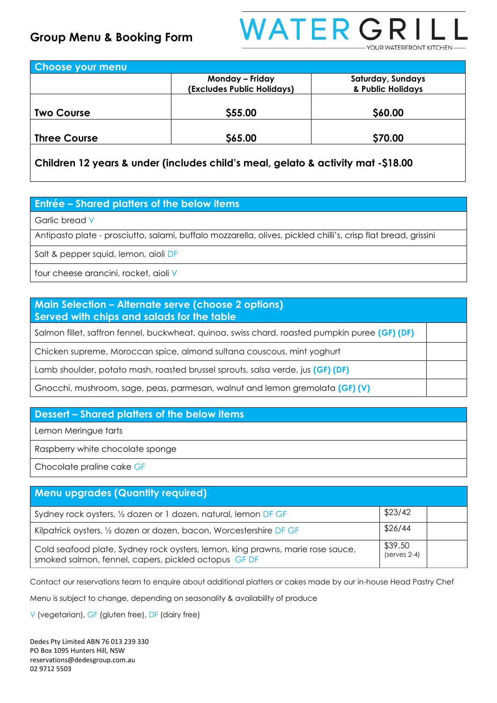

| <b>Choose your menu</b> |                            |                   |
|-------------------------|----------------------------|-------------------|
|                         | Monday - Friday            | Saturday, Sundays |
|                         | (Excludes Public Holidays) | & Public Holidays |
| <b>Two Course</b>       | \$55.00                    | \$60.00           |
|                         |                            |                   |
| <b>Three Course</b>     | \$65.00                    | \$70.00           |

**Children 12 years & under (includes child's meal, gelato & activity mat -\$18.00**

#### **Entrée – Shared platters of the below items**

Garlic bread V

Antipasto plate - prosciutto, salami, buffalo mozzarella, olives, pickled chilli's, crisp flat bread, grissini

Salt & pepper squid, lemon, aioli DF

four cheese arancini, rocket, aioli V

### **Main Selection – Alternate serve (choose 2 options) Served with chips and salads for the table**

Salmon fillet, saffron fennel, buckwheat, quinoa, swiss chard, roasted pumpkin puree **(GF) (DF)**

Chicken supreme, Moroccan spice, almond sultana couscous, mint yoghurt

Lamb shoulder, potato mash, roasted brussel sprouts, salsa verde, jus **(GF) (DF)**

Gnocchi, mushroom, sage, peas, parmesan, walnut and lemon gremolata **(GF) (V)**

#### **Dessert – Shared platters of the below items**

Lemon Meringue tarts

Raspberry white chocolate sponge

Chocolate praline cake GF

## **Menu upgrades (Quantity required)** Sydney rock oysters,  $\frac{1}{2}$  dozen or 1 dozen, natural, lemon DF GF  $\frac{1}{2}$  \$23/42 Kilpatrick oysters, 1/2 dozen or dozen, bacon, Worcestershire DF GF \$26/44 Cold seafood plate, Sydney rock oysters, lemon, king prawns, marie rose sauce, smoked salmon, fennel, capers, pickled octopus GF DF \$39.50 (serves 2-4)

Contact our reservations team to enquire about additional platters or cakes made by our in-house Head Pastry Chef

Menu is subject to change, depending on seasonality & availability of produce

V (vegetarian), GF (gluten free), DF (dairy free)